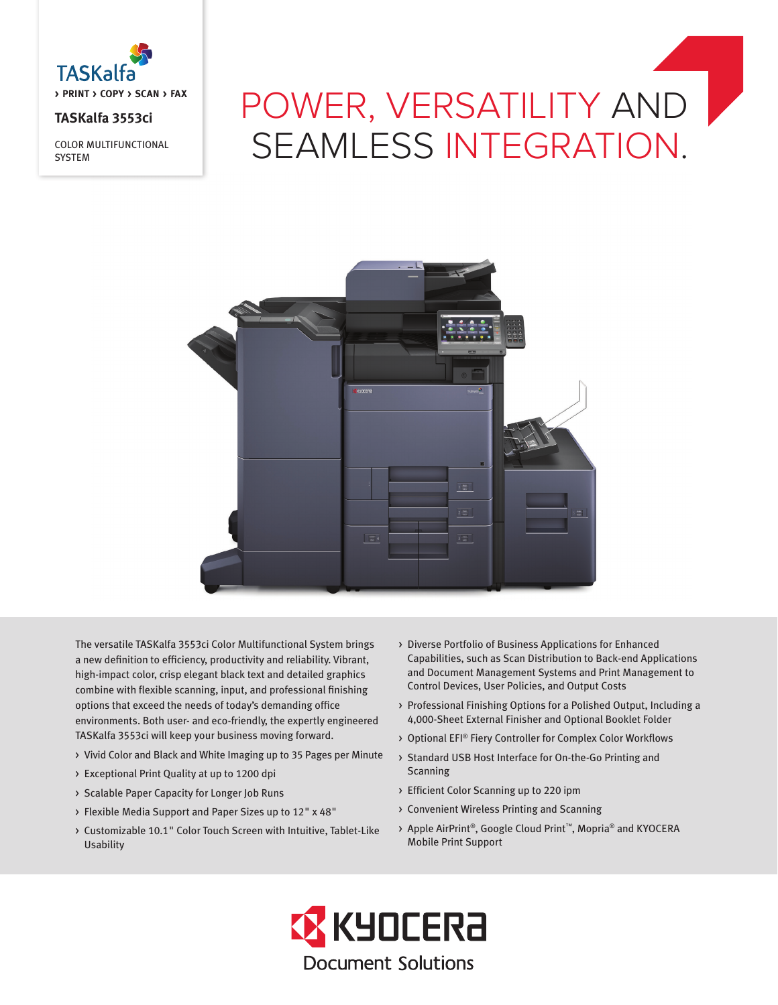

# **TASKalfa 3553ci**

COLOR MULTIFUNCTIONAL **SYSTEM** 

# POWER, VERSATILITY AND SEAMLESS INTEGRATION.



The versatile TASKalfa 3553ci Color Multifunctional System brings a new definition to efficiency, productivity and reliability. Vibrant, high-impact color, crisp elegant black text and detailed graphics combine with flexible scanning, input, and professional finishing options that exceed the needs of today's demanding office environments. Both user- and eco-friendly, the expertly engineered TASKalfa 3553ci will keep your business moving forward.

- > Vivid Color and Black and White Imaging up to 35 Pages per Minute
- > Exceptional Print Quality at up to 1200 dpi
- > Scalable Paper Capacity for Longer Job Runs
- > Flexible Media Support and Paper Sizes up to 12" x 48"
- > Customizable 10.1" Color Touch Screen with Intuitive, Tablet-Like Usability
- > Diverse Portfolio of Business Applications for Enhanced Capabilities, such as Scan Distribution to Back-end Applications and Document Management Systems and Print Management to Control Devices, User Policies, and Output Costs
- > Professional Finishing Options for a Polished Output, Including a 4,000-Sheet External Finisher and Optional Booklet Folder
- > Optional EFI® Fiery Controller for Complex Color Workflows
- > Standard USB Host Interface for On-the-Go Printing and Scanning
- > Efficient Color Scanning up to 220 ipm
- > Convenient Wireless Printing and Scanning
- > Apple AirPrint®, Google Cloud Print™, Mopria® and KYOCERA Mobile Print Support